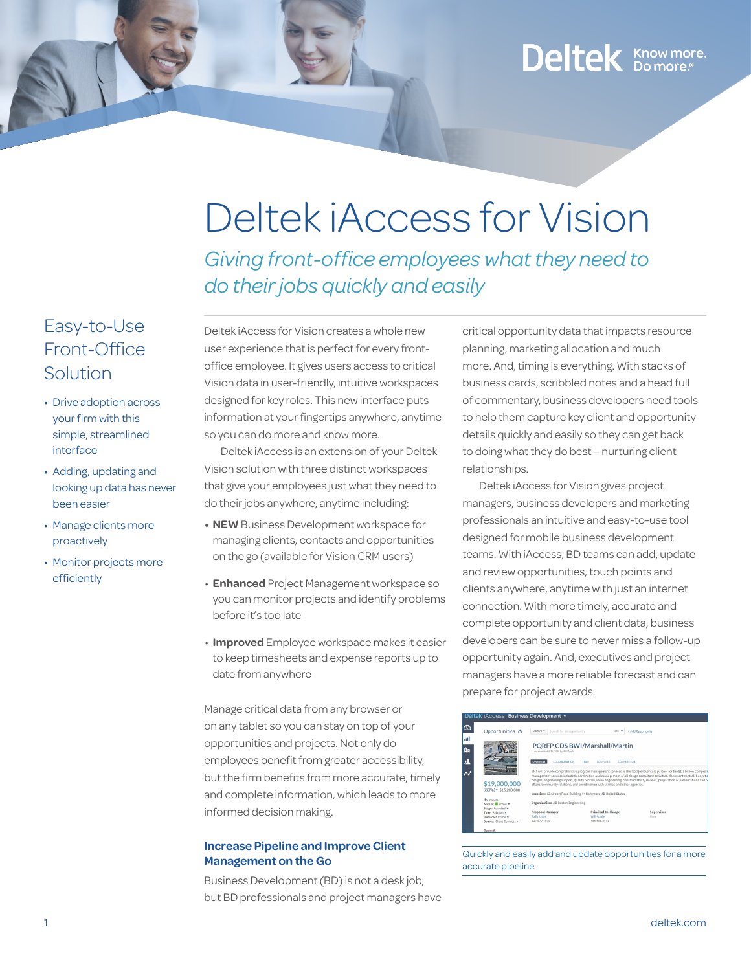## Deltek Know more.

### Easy-to-Use Front-Office Solution

- Drive adoption across your firm with this simple, streamlined interface
- Adding, updating and looking up data has never been easier
- Manage clients more proactively
- Monitor projects more efficiently

# Deltek iAccess for Vision

*Giving front-office employees what they need to do their jobs quickly and easily*

Deltek iAccess for Vision creates a whole new user experience that is perfect for every frontoffice employee. It gives users access to critical Vision data in user-friendly, intuitive workspaces designed for key roles. This new interface puts information at your fingertips anywhere, anytime so you can do more and know more.

Deltek iAccess is an extension of your Deltek Vision solution with three distinct workspaces that give your employees just what they need to do their jobs anywhere, anytime including:

- **• NEW** Business Development workspace for managing clients, contacts and opportunities on the go (available for Vision CRM users)
- **Enhanced** Project Management workspace so you can monitor projects and identify problems before it's too late
- **Improved** Employee workspace makes it easier to keep timesheets and expense reports up to date from anywhere

Manage critical data from any browser or on any tablet so you can stay on top of your opportunities and projects. Not only do employees benefit from greater accessibility, but the firm benefits from more accurate, timely and complete information, which leads to more informed decision making.

#### **Increase Pipeline and Improve Client Management on the Go**

Business Development (BD) is not a desk job, but BD professionals and project managers have

critical opportunity data that impacts resource planning, marketing allocation and much more. And, timing is everything. With stacks of business cards, scribbled notes and a head full of commentary, business developers need tools to help them capture key client and opportunity details quickly and easily so they can get back to doing what they do best – nurturing client relationships.

Deltek iAccess for Vision gives project managers, business developers and marketing professionals an intuitive and easy-to-use tool designed for mobile business development teams. With iAccess, BD teams can add, update and review opportunities, touch points and clients anywhere, anytime with just an internet connection. With more timely, accurate and complete opportunity and client data, business developers can be sure to never miss a follow-up opportunity again. And, executives and project managers have a more reliable forecast and can prepare for project awards.

| Opportunities &                    | ACTIVE *<br>Search for an opportunity      | $172 - 7$                                                                                                                  | + Add Opportunity                                                                                                               |
|------------------------------------|--------------------------------------------|----------------------------------------------------------------------------------------------------------------------------|---------------------------------------------------------------------------------------------------------------------------------|
|                                    |                                            |                                                                                                                            |                                                                                                                                 |
|                                    | Last modified 4/14/2015 by Will Apple      | <b>PORFP CDS BWI/Marshall/Martin</b>                                                                                       |                                                                                                                                 |
|                                    | <b>OVERVIEW</b><br>COLLABORATION           | <b>TEAM</b><br><b>ACTIVITIES</b><br>COMPETITION                                                                            |                                                                                                                                 |
|                                    |                                            | JMT will provide comprehensive program management services as the lead joint venture partner for the \$1.3 billion Compreh |                                                                                                                                 |
|                                    |                                            | management services included coordination and management of all design consultant activities, document control, budget a   |                                                                                                                                 |
| \$19,000,000                       |                                            | affairs/community relations, and coordination with utilities and other agencies.                                           |                                                                                                                                 |
| $(80\%)$ + \$15,200,000            |                                            |                                                                                                                            |                                                                                                                                 |
|                                    |                                            | Location: 12 Airport Road Building #4 Baltimore MD United States                                                           |                                                                                                                                 |
| ID: 102002<br>Status: Ill Active v | <b>Organization: AB Boston Engineering</b> |                                                                                                                            |                                                                                                                                 |
| Stage: Awarded w                   |                                            |                                                                                                                            | designs, engineering support, quality control, value engineering, constructability reviews, preparation of presentations and re |
| Type: Aviation v                   | <b>Proposal Manager</b>                    | Principal-In-Charge                                                                                                        | Supervisor                                                                                                                      |
| One Robert Prima w                 | Sally Little                               | <b>Will Apple</b>                                                                                                          | Nome                                                                                                                            |
| Source: Client Contacts v.         | 617.879.4500                               | 456,695,4501                                                                                                               |                                                                                                                                 |

Quickly and easily add and update opportunities for a more accurate pipeline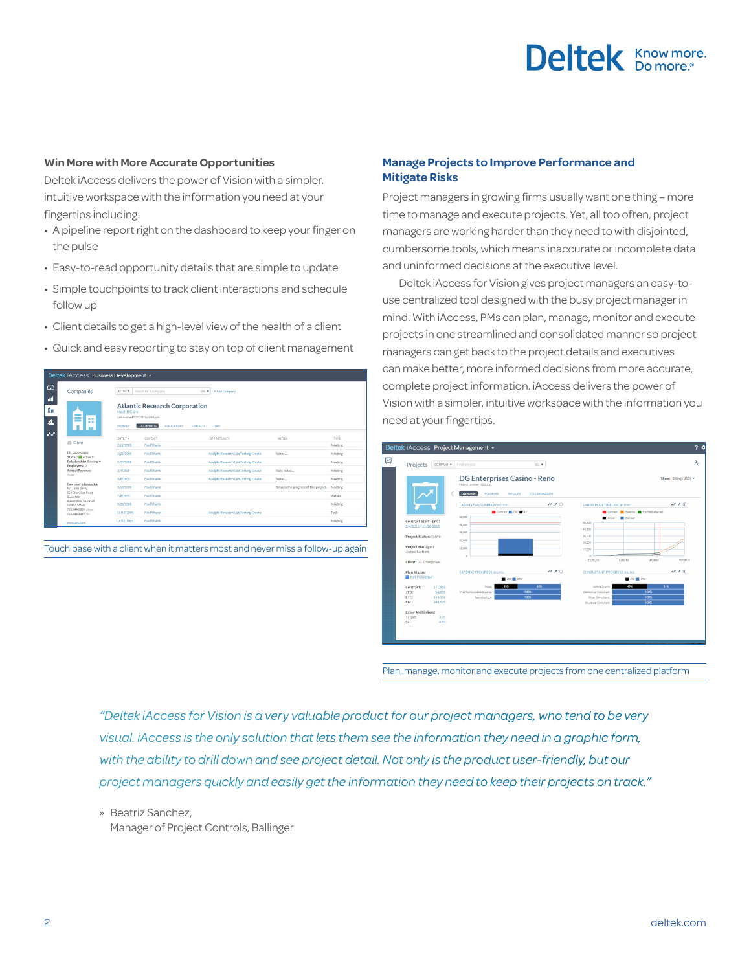## Deltek Knowmore.

#### **Win More with More Accurate Opportunities**

Deltek iAccess delivers the power of Vision with a simpler, intuitive workspace with the information you need at your fingertips including:

- A pipeline report right on the dashboard to keep your finger on the pulse
- Easy-to-read opportunity details that are simple to update
- Simple touchpoints to track client interactions and schedule follow up
- Client details to get a high-level view of the health of a client
- Quick and easy reporting to stay on top of client management

|                          | Deltek iAccess Business Development v        |                                                                          |                      |                                                                                |                                     |                                       |         |
|--------------------------|----------------------------------------------|--------------------------------------------------------------------------|----------------------|--------------------------------------------------------------------------------|-------------------------------------|---------------------------------------|---------|
| $\Omega$                 | Companies                                    | ACTIVE *                                                                 | Search for a company | 106 7                                                                          | + Add Company                       |                                       |         |
| пĤ<br>帥<br>塩             | l se<br>l m                                  | <b>Health Care</b><br>Last modified \$/27/2015 by Will Apple<br>OVERVIEW | <b>TOUCHPOINTS</b>   | <b>Atlantic Research Corporation</b><br><b>ASSOCIATIONS</b><br><b>CONTACTS</b> | TEAM                                |                                       |         |
| $\overline{\phantom{a}}$ | <b>Client</b>                                | DATE <sup>*</sup>                                                        | CONTACT              |                                                                                | OPPORTUNITY                         | <b>NOTES</b>                          | TYPE    |
|                          |                                              | 2/12/2005                                                                | Paul Shank           |                                                                                |                                     |                                       | Meeting |
|                          | ID: 0000000192<br>Status: Active v           | 2/22/2005                                                                | Paul Shank           |                                                                                | Adelphi Research Lab Testing Create | Notes                                 | Meeting |
|                          | Relationship: Existing v<br>Employees: 0     | 2/25/2005                                                                | Paul Shank           |                                                                                | Adelphi Research Lab Testing Create |                                       | Meeting |
|                          | <b>Annual Revenues</b>                       | 3/4/2005                                                                 | Paul Shank           |                                                                                | Adelphi Research Lab Testing Create | New Notes                             | Meeting |
|                          | None.                                        | 3/8/2005                                                                 | Paul Shank           |                                                                                | Adelphi Research Lab Testing Create | Notes                                 | Meeting |
|                          | <b>Company Information</b><br>Nr. John Boyis | 3/10/2005                                                                | Paul Shank           |                                                                                |                                     | Discuss the progress of this project. | Meeting |
|                          | 562 Cherokee Road<br>Suite 500               | 7/8/2005                                                                 | Paul Shank           |                                                                                |                                     |                                       | Webex   |
|                          | Alexandria, VA 24578<br><b>United States</b> | 9/26/2005                                                                | Paul Shank           |                                                                                |                                     |                                       | Meeting |
|                          | 703.644.5800 phone<br>703.644.4495 fax       | 10/14/2005                                                               | Paul Shank           |                                                                                | Adelphi Research Lab Testing Create |                                       | Task    |
|                          | www.arc.com                                  | 10/22/2005                                                               | Paul Shank           |                                                                                |                                     |                                       | Meeting |



#### **Manage Projects to Improve Performance and Mitigate Risks**

Project managers in growing firms usually want one thing – more time to manage and execute projects. Yet, all too often, project managers are working harder than they need to with disjointed, cumbersome tools, which means inaccurate or incomplete data and uninformed decisions at the executive level.

Deltek iAccess for Vision gives project managers an easy-touse centralized tool designed with the busy project manager in mind. With iAccess, PMs can plan, manage, monitor and execute projects in one streamlined and consolidated manner so project managers can get back to the project details and executives can make better, more informed decisions from more accurate, complete project information. iAccess delivers the power of Vision with a simpler, intuitive workspace with the information you need at your fingertips.



Plan, manage, monitor and execute projects from one centralized platform

*"Deltek iAccess for Vision is a very valuable product for our project managers, who tend to be very visual. iAccess is the only solution that lets them see the information they need in a graphic form, with the ability to drill down and see project detail. Not only is the product user-friendly, but our project managers quickly and easily get the information they need to keep their projects on track."*

» Beatriz Sanchez,

Manager of Project Controls, Ballinger